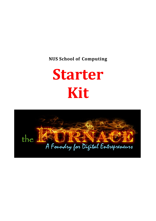**NUS School of Computing**

# **Starter Kit**

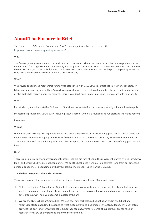# **About The Furnace in Brief**

*The Furnace* is NUS School of Computing's (SoC) early-stage incubator. Here is our URL:

[http://www.comp.nus.edu.sg/entrepreneurship/.](http://www.comp.nus.edu.sg/entrepreneurship/)

#### **Why?**

The fastest growing companies in the world are tech companies. The most famous examples of entrepreneurship in recent times, from *Apple* to *Baidu* to *Facebook*, are computing companies. With so many smart students and talented faculty, SoC is a great source for high tech high growth startups. The Furnace seeks to help aspiring entrepreneurs as they take their first steps towards building a great company.

#### **What?**

We provide experienced mentorship for startups associated with SoC, as well as office space, network connectivity, telephone lines and furniture. There's overflow spaces for interns as well as a lounge to relax in. The best part of the deal is that while there's a nominal monthly charge, you don't need to pay unless and until you are able to afford it.

#### **Who?**

For: students, alumni and staff of SoC and NUS. Visit our website to find out more about eligibility and how to apply.

Mentoring is provided by SoC faculty, including adjunct faculty who have founded and run startups and made venture

investments.

#### **When?**

Whenever you are ready. But right now would be a good time to drop us an email. Singapore's tech startup scene has been gaining momentum rapidly over the last few years and we've seen some successes, from *Mozat* to *tenCube* to *Zopim and Carousell*. We think the pieces are falling into place for a huge tech startup success out of Singapore. It could be you!

#### **How?**

There is no single recipe for entrepreneurial success. We are big fans of Lean (the movement started by Eric Ries, Steve Blank and others), but we are not Lean purists. We pull the best ideas from multiple sources – and from our extensive personal experience – depending on what your startup most needs. Each startup is unique.

#### **...and what's so special about The Furnace?**

There are many incubators and accelerators out there. How are we different? Four main ways:

- □ Notice our tagline: A Foundry for Digital Entrepreneurs. We want to nurture successful ventures. But we also want to help create great tech entrepreneurs. If you have the passion, dedication and courage to become an entrepreneur, we'll help you become a master of the art.
- $\Box$  We are the NUS School of Computing. We love cool new technology, but not as an end in itself. First and foremost a startup needs to be aligned to what customers want. But unique, innovative, deep technology often provides the best long-term sustainable advantage for a new venture. Some of our startups are founded on research from SoC; all our startups are invited to draw on it.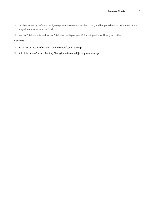- Incubators are by definition early-stage. We are even earlier than most, and happy to be your bridge to a laterstage incubator or venture fund.
- □ We don't take equity and we don't take ownership of your IP for being with us. How great is that!

#### **Contacts**

- Faculty Contact: Prof Francis Yeoh (disyeohf@nus.edu.sg)
- Administrative Contact: Ms Ang Cheng Lian (furnace-l@comp.nus.edu.sg)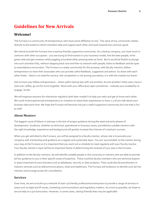# **Guidelines for New Arrivals**

# **Welcome!**

The Furnace is a community of entrepreneurs who have some affiliation to SoC. The value of any community relates directly to the extent to which members help and support each other and work towards the common good.

We intend to build the Furnace into a startup friendly supportive community. As a startup company, you have much in common with other occupants – you are trying to find traction in your business model, hire the best people, write great code and get investors while juggling a hundred other pressing tasks at hand. But it would be foolish to plunge into such activities fully, without stepping back now and then to network with people, listen to feedback and be open to serendipitous encounters. The Furnace is a ready community for this purpose, with faculty mentors, fellow entrepreneurs or even their associates who can provide useful feedback, suggestion and advice. So share with each other freely – there is no need for secrecy: the competition is not among yourselves, it is with the market out there!

Get to know your fellow entrepreneurs – share useful startup tips with one another, be one another's beta users, have a chat over coffee, go out for lunch together. Work with your office door open sometimes – indicate your availability to engage. Smile!

We will organize sessions for interaction regularly (with beer maybe?) to help you relax and get to know each other. We could invite experienced entrepreneurs or investors to share their experiences or have 2-3 of you talk about your business idea each time. We hope the Furnace will become not just a useful supportive community but one that is fun as well!

## **About Mentors**

The biggest cause of failure in startups is the lack of proper guidance during the seed and early phases of development. Guidance, whether on technical, operational or business issues, provided by suitable mentors with the right knowledge, experience and background will greatly increase the chances of a startup's success.

When you get admitted to the Furnace, you will be assigned to a faculty mentor, whose role is to provide your company with mentorship and guidance on a regular and systematic basis. You are 'accountable' to the mentor during your stay at the Furnace so it is important that you work out a schedule to meet regularly with your faculty mentor. Your faculty mentor's input will be an important factor in determining the renewal of your stay in the Furnace.

In addition to the faculty mentors, we will identify suitable people in the university or industry who are able to provide ad hoc guidance to you in their specific areas of expertise. These could be faculty members who are technical experts in areas important to your business such as databases, security or data analytics. They could also be practitioners in industry verticals such as telecommunications, retail and healthcare. The Furnace will endeavor to identify such ad-hoc mentors and arrange access for consultation.

## **Services**

Over time, we aim to build up a network of start-up friendly professional enterprises to provide a range of services in areas such as legal and IP issues, marketing communications and regulatory matters. As much as possible, we hope to secure help on a pro bono basis. However, in some cases, startup friendly fees may be applicable.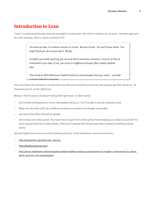# **Introduction to Lean**

"Lean" is a startup philosophy that has emerged in recent years. We think it makes a lot of sense – the best approach for most startups. Here's a quick summary of it:

> You have an idea. It could be a winner or a loser. We don't know. You don't know either. You might think you do, but you don't. Really!

So before you build anything, get out and talk to potential customers. Find out if they're interested in your idea. If not, you pivot to a different (though often closely related) idea.

Then build an MVP (Minimum Viable Product) to show people what you mean... and talk to more notential customers

This may take a few iterations. It ends when you discover something customers are dying to get their hands on. At that point you're on the right track.

Being in The Furnace is all about finding that right track. In other words:

- Don't build stuff based on a hunch that people will buy it. You first idea is almost certainly a dud.
- $\Box$  When you do build stuff, do as little as necessary as quickly and cheaply as possible.
- Get out of the office and talk to people.
- Don't keep your ideas secret. You have more to gain from sharing than from keeping your ideas to yourself. For every startup that has its ideas stolen, there are hundreds that fail because they created something nobody wants.

We will explain this more at our first meeting with you. In the meantime, here are some links:

- □ [http://wikipedia.org/wiki/Lean\\_Startup](http://wikipedia.org/wiki/Lean_Startup)
- <http://theleanstartup.com/>
- [http://www.slideshare.net/startuplessonslearned/lean-startup-presentation-to-maples-investments-by-steve](https://www.slideshare.net/startuplessonslearned/lean-startup-presentation-to-maples-investments-by-steve-blank-and-eric-ries-presentation)[blank-and-eric-ries-presentation](https://www.slideshare.net/startuplessonslearned/lean-startup-presentation-to-maples-investments-by-steve-blank-and-eric-ries-presentation)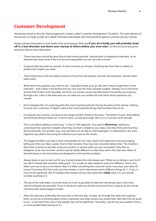# **Customer Development**

*Absolutely central to the Lean Startup approach is what's called "Customer Development" (CustDev). The main element of this process is a large number of in-depth interviews with people who think would be typical customers for your startup.*

*Doing customer interviews is much harder than most startups think and if you do it badly you will probably head off in a bad direction and doom your startup to failure before you even start. So here are some key points and some links to more information*

- These interviews should be done face to face where possible. Second-best is a telephone interview. As an absolute last resort (only if the first two are impossible) you can use chat or email.
- A typical interview lasts 60 minutes. A short one lasts 30 minutes. Anything less than that is unlikely to achieve the insights you need.
- $\Box$  They're best done with one subject and two of you from the startup: one asks the questions, and the other takes notes.
- $\Box$  Write down the questions you want to ask typically at least 30 to 50. But don't step through them in the interview – that makes it too formal and you may miss the most valuable insights. Instead, try to memorize at least half of them and if possible, ask them in a sincere casual way that doesn't sound like you're going through a list. Later in the interview you can take out your written list and check which questions you missed.
- $\Box$  Don't delegate this. It's a job (arguably the most important job) for the key founders of the startup. Getting to know your customers in depth is about the most important things that founders have to do.
- $\Box$  In a typical Lean process, you have to do a large number of these interviews. The father of Lean, Steve Blank, recommends doing at least 100. In some cases, 30 may be enough. But 5 to 10 is almost never enough.
- This is not about selling or convincing in fact it's the opposite. Your goal is *discovery***,** seeking to understand the customer in depth: what they do (that's related to your idea), how they think and how they feel emotionally. Put another way, your job here is to act like an anthropologist: to understand in the most objective way while minimizing the influence you have on the results.
- $\Box$  The biggest problem you face is that most people are nice: they want to be supportive and encouraging, telling you that your idea is great. And in that moment, they may even sincerely believe that. The trouble is that when it comes to actually using your product or service when you are not present, they feel no obligation to be nice and their actions may be totally different to what they said in the interview. Many of the techniques in the links below are designed to minimize this problem.
- Always keep an eye (or ear) out for any moment where the interviewee says "What you're doing is cool, but if you did X instead that would be really great". X is usually an idea related to yours but different. And it very often turns out to be a much better idea: X is often something the customer wants more than your idea. Of course if you hear this from only one interviewee, or each interviewee wants different things (X, Y, Z etc), it may not be significant. But if multiple interviewees tell you that what they *really* want is X, you should consider pivoting to X.
- $\Box$  The job of the note-taker is to write down as much as possible of what the interviewee says in the most neutral unbiased way possible. If you're doing this right you should come away from a typical 30–60 minute interview with several pages of notes.
- $\Box$  After the interview, preferably the same day or the next day, no later, go through the notes and organise them, as you do so thinking about what's important, and what actions you should take. (But don't be too quick to act - a comment from one or two people may not be significant. Generally, wait till you see a pattern from 5 or more people before acting on it.)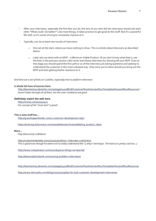- $\Box$  After your interviews, especially the first few you do, the two of you who did the interviews should ask each other "What could I do better?" Like most things, it takes practice to get good at this stuff. But it's a powerful life-skill, so it's worth striving to constantly improve at it.
- $\Box$  Typically, you do at least two rounds of interviews:
	- o One set at the start, where you have nothing to show. This is entirely about discovery as described above.
	- o Later sets are done with an MVP a Minimum Viable Product. (If you don't know what that is, see the links in the previous section.) But never start these interviews by showing off your MVP. Even at this stage you should spend the first 30% or so of the interview just asking questions and seeking to understand the customer in the most unbiased way. Only once you've done should you bring out the MVP and start getting his/her reactions to it.

#### *And here are a set of links on CustDev, especially how to perform interviews*

#### **A whole list here of sources here:**

<http://leanstartup.pbworks.com/w/page/54918676/Customer%20Interview%20Templates%20and%20Resources> *I haven't been through all of them, but the ones I looked at are good.*

#### *Definitely watch the talk here*

<http://vimeo.com/40192415> *His concept of the "mom test" is great!*

#### **This is wise stuff too…**

<http://grasshopperherder.com/1-customer-development-tips/>

https://training.kalzumeus.com/newsletters/archive/validating\_product\_ideas

#### **More…**

http://leancamp.co/#about

<http://customerdevlabs.com/2013/11/05/how-i-interview-customers/> *This is good even though he seems not to really understand the "5 whys" technique. The haircut is pretty cool too. ;)*

<http://www.cindyalvarez.com/roundups/10-things-ive-learned>

<http://leananalyticsbook.com/scoring-problem-interviews/>

<http://leanstartup.pbworks.com/w/page/54918676/Customer%20Interview%20Templates%20and%20Resources>

<http://www.skmurphy.com/blog/2011/10/19/tips-for-b2b-customer-development-interviews/>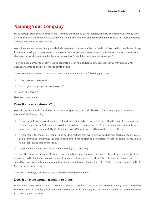# **Naming Your Company**

Many startups start off with a bad name. They find they have to change it later, which is always painful. Or they stick with a name that they should have changed, building a startup with one hand tied behind their back. These guidelines will help you avoid the main pitfalls.

A good name needs some thought and a little research. It may take at least a few hours' work to find one. Don't plunge in without thinking – for example don't choose it because you want to name your venture after your favorite cartoon character or favorite fruit (maybe the latter worked for Steve Jobs, but times have changed!).

To find a good name, you usually have to generate a lot of names. Keep a list. Sometimes you may end up with dozens of names on the list before you settle on one.

There are several aspects to choosing a good name. Ask yourself the following questions:

- Does it attract customers?
- Does it give me enough freedom to pivot?
- □ Can I fully own it?

Here are more details.

#### **Does it attract customers?**

A great name appeals to the kind of person who will pay for your product/service. For these people, it does one or more of the following things:

- $\Box$  It's memorable. As soon as they hear it, it sticks in their mind and doesn't let go often because it conjures up a strong image. One of SoC's startups is called TinyWhale – a great example. As well as being hard to forget, such names often act as memes [\(http://wikipedia.org/wiki/Meme\) –](http://wikipedia.org/wiki/Meme)) we tend to pass them on to others.
- $\Box$  It "resonates" for them i.e., conjures up positive feelings that are in sync with what your startup needs. If you're doing something for gamers, Razer is a good name. If you're offering a financial service for people's savings, pick a name that sounds safe and reliable.
- $\Box$  It tells them what you do or what you're offering (e.g., YouTube).

To check this, bounce the name off some friends, family, etc and see what they say. Try to pick people who are close as possible to the kind of people you think will be your customers. Do they like it? Does it sound intriguing? Does it sound trustworthy? Do they smile when they hear or see it (French Connection UK – FCUK - is a good example of this!) Can they guess what it does?

And after a few days, ask them to see if they still remember the name.

### **Does it give me enough freedom to pivot?**

Don't pick a name that limits you narrowly to one kind of product. One of our SoC startups initially called themselves DocPHP – way too limiting. Later they renamed themselves to Novatap, a far better name (and used DocPHP for their first product, which is fine).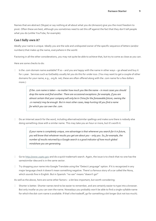Names that are abstract (Skype) or say nothing at all about what you do (Amazon) give you the most freedom to pivot. Often these are best, although you sometimes need to set this off against the fact that they don't tell people what you do (unlike YouTube, for example).

## **Can I fully own it?**

Ideally your name is unique. Ideally you are the sole and undisputed owner of the specific sequence of letters (and/or numbers) that make up the name, everywhere in the world.

Factoring in all the other considerations, you may not quite be able to achieve that, but try to come as close as you can.

Here are some checks to do:

 Is the .com domain name available? If so – and you are happy with the name in other ways – go ahead and buy it for 1 year. Services such as GoDaddy usually let you do this for under \$20. (You may want to get a couple of other domains for your name, e.g., .org & .net; these are often offered along with the .com name for a few dollars more.)

> If the .com name is taken - no matter how much you like the name - in most cases you should drop the name and find another. There are occasional exceptions: for example, if you are almost certain that your company will only be in China for the foreseeable future, owning the .cn name(s) may be enough. But in most other cases, keep hunting till you find a name for which you can own the .com.

 Do an Internet search for the word, including alternative/similar spellings and make sure there is nobody else doing something close with a similar name. This may take you an hour or more, but it's worth it.

> If your name is completely unique, one advantage is that whenever you search for it in future, you will know that whatever results you get are about you - only you. So, for example, the number of results returned by a Google search is a good indicator of how much global mindshare you are generating.

- Go to [http://www.uspto.gov](http://www.uspto.gov/) and do a quick trademark search. Again, the issue is to check that no-one has the same/similar idea and is in the same sector.
- □ Try dropping your name into Google Translate using the "Detect Language" option. If it is recognized in any major language check it doesn't mean something negative. There's a famous story of a car called the Nova, which sounds fine in English. But in Spanish: "no van" means "doesn't go!"

As well as the above, here are some other factors – a bit less important, but worth considering:

 $\Box$  Shorter is better. Shorter names tend to be easier to remember, and are certainly easier to type into a browser. But only insofar as you can own the name. Nowadays you probably won't be able to find a single-syllable name for which the dot-com name is available. If that's the tradeoff, go for something a bit longer (but not too much).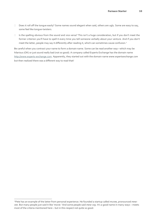- $\Box$  Does it roll off the tongue easily? Some names sound elegant when said, others are ugly. Some are easy to say, some feel like tongue-twisters.
- $\Box$  Is the spelling obvious from the sound and vice versa? This isn't a huge consideration, but if you don't meet the former criterion you'll have to spell it every time you tell someone verbally about your venture. And if you don't meet the latter, people may say it differently after reading it, which can sometimes cause confusion.<sup>1</sup>

Be careful when you contract your name to form a domain name. Some can be read another way—which may be hilarious (OK) or just sound really bad (not so good). A company called Experts Exchange has the domain name [http://www.experts-exchange.com. A](http://www.experts-exchange.com/)pparently, they started out with the domain name *[www.expertsexchange.com](http://www.expertsexchange.com/)* but then realized there was a different way to read that!

<sup>1</sup> Pete has an example of the latter from personal experience. He founded a startup called *muvee*, pronounced *mewvee*. But many people just said it like '*movie*.' And some people said *mew-vay*. It's a good name in many ways – meets most of the criteria mentioned here – but in this respect not quite so good.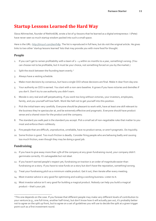# **Startup Lessons Learned the Hard Way**

Slava Akhmechet, founder of RethinkDB, wrote a list of 57 lessons that he learned as a digital entrepreneur. I (Pete) have never seen so much startup wisdom packed into such a small space.

Here is the URL[: http://tinyurl.com/kenfv8p. T](http://tinyurl.com/kenfv8p)he list is reproduced in full here, but do visit the original article. He gives links to two other 'startup lessons learned' lists that may provide you with more food for thought.

## **People**

- 1. If you can't get to ramen profitability with a team of  $2 4$  within six months to a year, something's wrong. (You can choose not to be profitable, but it must be your choice, not something forced on you by the market.)
- 2. Split the stock between the founding team evenly.<sup>2</sup>
- 3. Always have a vesting schedule.
- 4. Make most decisions by consensus, but have a single CEO whose decisions are final. Make it clear from dayone.
- 5. Your authority as CEO is earned. You start with a non-zero baseline. It grows if you have victories and dwindles if you don't. Don't try to use authority you didn't earn.
- 6. Morale is very real and self-perpetuating. If you work too long without victories, your investors, employees, family, and you yourself will lose faith. Work like hell not to get yourself into this position.
- 7. Pick the initial team very carefully. Everyone should be pleasant to work with, have at least one skill relevant to the business they're spectacular at, and be extremely effective and pragmatic. Everyone should have product sense and a shared vision for the product and the company.
- 8. The standard you walk past is the standard you accept. Pick a small set of non-negotiable rules that matter to you most and enforce them ruthlessly.
- 9. Fire people that are difficult, unproductive, unreliable, have no product sense, or aren't pragmatic. Do itquickly.
- 10. Some friction is good. Too much friction is deadly. Consider firing people who are behaving badly and causing too much friction, even though they may be doing a good job.

# **Fundraising**

- 11. If you have to give away more than 15% of the company at any given fundraising round, your company didn't germinate correctly. It's salvageable but not ideal.
- 12. If you haven't earned people's respect yet, fundraising on traction is an order of magnitude easier than fundraising on a story. If you have to raise funds on a story but don't have the reputation, something'swrong.
- 13. Treat your fundraising pitch as a minimum viable product. Get it out, then iterate after every meeting.
- 14. Most investor advice is very good for optimizing and scaling a working business. Listen to it.
- 15. Most investor advice isn't very good for building a magical product. Nobody can help you build a magical product – that's your job.

<sup>&</sup>lt;sup>2</sup> This one depends on the case. If you foresee that different people may make very different levels of contribution to your venture (e.g., one full-time, another half-time), but don't know how it will actually pan out, it's probably better not to agree on the split up front, but to agree on a set of guidelines you will use to decide the split at a given trigger point such as a first investment round.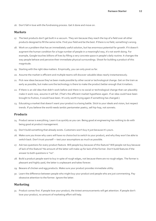16. Don't fall in love with the fundraising process. Get it done and move on.

#### **Markets**

- 17. The best products don't get built in a vacuum. They win because they reach the top of a field over all other products designed to fill the same niche. Find your field and be the best. If there is no field, something's wrong.
- 18. Work on a problem that has an immediately useful solution, but has enormous potential for growth. If it doesn't augment the human condition for a huge number of people in a meaningful way, it's not worth doing. For example, Google touches billions of lives by filling a very concrete space in people's daily routine. It changes the way people behave and perceive their immediate physical surroundings. Shoot for building a product of this magnitude.
- 19. Starting with the right idea matters. Empirically, you can only pivot so far.
- 20. Assume the market is efficient and multiple teams will discover valuable ideas nearly instantaneously.
- 21. Pick new ideas because they've been made possible by other social or technological change. Get on the train as early as possible, but make sure the technology is there to make the product better enough that itmatters.
- 22. If there is an old idea that didn't work before and there is no social or technological change that can plausibly make it work now, assume it will fail. (That's the efficient market hypothesis again. If an idea could have been brought to fruition, it would have been. It's only worth trying again if something has changed.)
- 23. Educating a market that doesn't want your product is a losing battle. Stick to your ideals and vision, but respect trends. If you believe the world needs iambic pentameter poetry, sell hip-hop, not sonnets.

## **Products**

- 24. Product sense is everything. Learn it as quickly as you can. Being good at engineering has nothing to do with being good at product management.
- 25. Don't build something that already exists. Customers won't buy it just because it's yours.
- 26. Make sure you know why users will have no choice but to switch to your product, and why they won't be able to switch back. Don't trust yourself — test your assumptions as much as possible.
- 27. Ask two questions for every product feature. Will people buy because of this feature? Will people not buy because of lack of this feature? No amount of the latter will make up for lack of the former. Don't build features if the answer to both questions is "no".
- 28. Build a product people want to buy in spite of rough edges, not because there are no rough edges. The former is pleasant and highly-paid, the latter is unpleasant and takes forever.
- 29. Beware of chicken and egg products. Make sure your product provides immediate utility.
- 30. Learn the difference between people who might buy your product and people who are just commenting. Pay obsessive attention to the former. Ignore the latter.

#### **Marketing**

31. Product comes first. If people love your product, the tiniest announcements will get attention. If people don't love your product, no amount of marketing effort will help.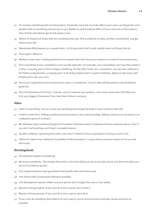- 32. Try to have marketing built into the product. If possible, have the YouTube effect (your users can frequently send people a link to something interesting on your platform), and Facebook effect (if your users are on the product, their friends will need to get on the product too).
- 33. Watch Jiri Dreams of Sushi, then do marketing that way. Pick a small set of tasks, do them consistently, and get better every day.
- 34. Reevaluate effectiveness on a regular basis. Cut things which don't work, double down on things that do.
- 35. Don't guess. Measure.
- 36. Market to your users. Getting attention from people who won't buy your product is a waste of time and money.
- 37. Don't say things if your competitors can't say the opposite. For example, your competitors can't say their product is slow, so saying yours is fast is sloppy marketing. On the other hand, your competitors can say their software is for Python programmers, so saying yours is for Ruby programmers is good marketing. Apple can get away with breaking this rule, you can't.
- 38. Don't use a supercilious tone towards your users or competitors. It won't help sell the product and will destroy good will.
- 39. Don't be dismissive of criticism. Instead, use it to improve your product. Your most vocal critics will often turn into your biggest champions if you take their criticism seriously.

#### **Sales**

- 40. Sales fix everything. You can screw up everything else and get through it if your product sells well.
- 41. Product comes first. Selling a product everyone wants is easy and rewarding. Selling a product no one wants is an unpleasant game of numbers.
- 42. Be relentless about working the game of numbers while the product is between the two extremes above. Even if you don't sell anything, you'll learn invaluable lessons.
- 43. Qualify ruthlessly. Spending time with a user who's unlikely to buy is equivalent to doing no work at all.
- 44. Inbound is easier than outbound. If possible, build the product in a way where customers reach out to you and ask to pay.

#### **Development**

- 45. Development speed is everything.
- 46. Minimize complexity. The simpler the product, the more likely you are to actually ship it, and the more likely you are to fix problems quickly.
- 47. Pick implementations that give 80% of the benefit with 20% of the work.
- 48. Use off the shelf components whenever possible.
- 49. Use development sprints. Make sure your sprints aren't longer than one or two weeks.
- 50. Beware of long projects. If you can't fit it into a sprint, don't build it.
- 51. Beware of long rewrites. If you can't fit it into a sprint, don't do it.
- 52. If you must do something that doesn't fit into a sprint, put as much structure and peer review around it as possible.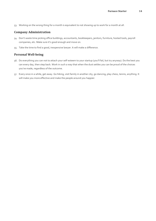53. Working on the wrong thing for a month is equivalent to not showing up to work for a month at all.

#### **Company Administration**

- 54. Don't waste time picking office buildings, accountants, bookkeepers, janitors, furniture, hosted tools, payroll companies, etc. Make sure it's good enough and move on.
- 55. Take the time to find a good, inexpensive lawyer. It will make a difference.

## **Personal Well-being**

- 56. Do everything you can not to attach your self-esteem to your startup (you'll fail, but try anyway). Do the best you can every day, then step back. Work in such a way that when the dust settles you can be proud of the choices you've made, regardless of the outcome.
- 57. Every once in a while, get away. Go hiking, visit family in another city, go dancing, play chess, tennis, anything. It will make you more effective and make the people around you happier.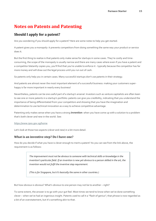# **Notes on Patents and Patenting**

# **Should I apply for a patent?**

Are you wondering if you should apply for a patent? Here are some notes to help you get started.

A patent gives you a monopoly: it prevents competitors from doing something the same way your product or service does it.

But the first thing to realize is that patents only make sense for startups in some cases. They're costly and timeconsuming, the scope of the monopoly is usually narrow and there are many cases where even if you have a patent and a competitor blatantly copies you, you'll find that you're unable to enforce it - typically because the competitor has far more money and will draw out the legal process until you run out of cash.

So patents only help you in certain cases. Many successful startups don't use patents in their strategy.

And patents are almost never the most important element of a successful business: making your customers superhappy is far more important in nearly every business!

Nevertheless, patents can be one useful part of a startup's arsenal. Investors such as venture capitalists are often keen to see one or more patents in a startup's portfolio: patents can give you credibility, indicating that you understand the importance of being differentiated from your competitors and showing that you have the imagination and determination to use technical innovation as a way to achieve competitive advantage.

Patenting only makes sense when you have a strong *invention*: when you have come up with a solution to a problem that's both clever *and* new in the world. See:

#### https://www.ipos.gov.sg/home

Let's look at those two aspects (*clever* and *new*) in a bit more detail.

#### **What is an inventive step? Do I have one?**

How do you decide if what you have is clever enough to merit a patent? As you can see from the link above, the requirement is as follows:

> The improvement must not be obvious to someone with technical skills or knowledge in the invention's particular field. If an invention is new yet obvious to a person skilled in the art, the invention would not fulfil the inventive step requirement.

(This is for Singapore, but it's basically the same in other countries.)

But how obvious is obvious? What's obvious to one person may not be to another – right?

To some extent, the answer is to go with your gut feel. Most times we tend to know when we've done something clever – when we've had an ingenious insight. Patents used to call it a "flash of genius"; that phrase is now regarded as a bit of an overstatement, but it's something akin to that.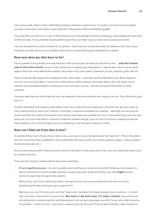(On a quick aside, there's a film called *Flash of Genius* all about a patent story. It's quite a nice intro to some patent concepts and practice, and quite a well-made film:<http://www.imdb.com/title/tt1054588/>

If you feel that you had one or more of those flashes and have perhaps invented something, keep reading this and move to the next step. If not, probably forget patenting and focus on other ways to make your business successful.

You can also ask the Furnace mentors for an opinion. They'll ask you to describe what you believe is the core of your invention and then advise you on whether they think it's potentially a good candidate for a patent.

#### **How new does my idea have to be?**

For any patent to be granted, one requirement is that some aspect of what you describe is new…. *and that means new in the entire world*, not just in the country you're applying for the patent in. Specifically, there must be some aspect which has never before been publicly described in any prior patent, academic journal, website, public talk etc.

That's a high bar! Be prepared for disappointment. Most ideas – even the ones that feel like a true "flash of genius" turn out not to be new. Bear in mind that to date about 9 million patents have been filed in the USA alone, not to mention all the published papers, existing products and other sources… plus of course all of the above in other countries.

For every idea that you think might be new, be prepared to discover that the vast majority are not. Sorry! But that's just how it is.

Another possibility that happens quite often is that your initial or primary idea turns not to be new, but you come up with a special twist or add-on to it which is. And that's a potential candidate for a patent… although you also have to decide whether the scope of monopoly such a patent would give you justifies the cost. Luckily patenting costs can start quite low, so if you think there's a chance it might be valuable enough, you can start the process cheaply and decide later whether to incur the far higher cost of completing it. See the section below on costs.

#### **How can I find out if my idea is new?**

To establish how much (if any) of your idea is new, you have to do some searching of the "prior art". (That's the patent term for everything that's published in the world before the date you file your patent: patents, papers, videos, product brochures/manuals, etc.)

Do this searching yourself. Unless you have loads of cash (and in most cases even if you do), you should not leave it just to a patent attorney.

There are two things to realize upfront about this searching:

 **It's an imperfect process.** You can't possibly search all the prior art across the world. What you do instead is to spend a few hours on some sample searches, trying to get some sense of whether your idea *might* be new, mainly by searching through earlier patents.

Many times, you'll soon realize your idea is not new and you can save yourself any more time or cost by abandoning the idea of trying to get a patent for it.

Best case, you won't find any prior art that "reads onto" (another bit of patent jargon) your invention… in which case you have a chance that it may be new. *But even in the best case, it's only a chance:* because you're only doing some sample searches (and because prior art can be in languages you don't know, plus other reasons), it's possible – in fact common - that there's relevant prior art you won't find out about till later, often months or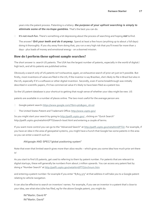years into the patent process. Patenting is a lottery: *the purpose of your upfront searching is simply to eliminate some of the no-hope gambles.* That's the best you can do.

**It's not much fun.** There's something a bit depressing about the process of searching and hoping *not* tofind.

The answer? *Grit your teeth and do it anyway.* Spend at least a few hours (anything up to about 2 full days) doing it thoroughly. If you shy away from doing that, you run a very high risk that you'll invest far more than 2 days - plus loads of money and emotional energy - on a doomed mission.

# **How do I perform these upfront sample searches?**

The short answer is: search US patents. The USA has the largest number of patents, especially in the world of digital / high tech, and all its patents are published online.

Obviously a search only of US patents isn't exhaustive; again, an exhaustive search of prior art just isn't possible. But firstly, most inventions of value are filed in the US; if the inventor is say Brazilian, she's likely to file in Brazil but also in the US, especially if it's a software or other digital invention. Secondly, even if some breakthrough was initially described in scientific papers, if it has commercial value it's likely to have been filed as a patent too.

So the US patent database is your shortcut to getting that rough sense of whether your idea might be new. US

patents are available in a number of places online. The two most useful for the average person are:

- Google patent search: https:/[/www.google.com/?tbm=pts&gws\\_rd=ssl](http://www.google.com/?tbm=pts&gws_rd=ssl)
- □ The United States Patent and Trademark Office: http://www.uspto.gov/

So you might start your search by going to<http://patft.uspto.gov/>, clicking on "Quick Search" http://patft.uspto.gov/netahtml/PTO/search-bool.html and entering a couple of terms.

If you want more control you can go to the "Advanced Search" at http://patft.uspto.gov/netahtml/PTO/. For example, if you have an idea in the area of geospatial systems, you might have a hunch that Google has some patents in the area so you can enter a search such as:

#### AN/google AND SPEC/"global positioning system"

Note that even that limited search gives more than 1600 results – which gives you some idea how much prior art there is!

As you start to find US patents, get used to referring to them by patent number. For patents that are relevant to digital startups, these will generally be numbers from about 7 million upwards. You can access any patent fast by doing a "Number Search" a[t http://patft.uspto.gov/netahtml/PTO/srchnum.htm](http://patft.uspto.gov/netahtml/PTO/srchnum.htm)

and entering a patent number: for example if you enter "8,825,373" at that address it will take you to a Google patent relating to vehicle navigation.

It can also be effective to search on inventors' names. For example, if you see an inventor in a patent that's close to your idea, see what else (s)he has filed, eg for the above Google patent, you might do:

IN/"Martin; David R" IN/"Martin; David"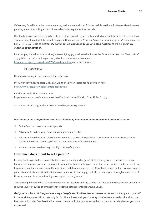(Of course, David Martin is a common name, perhaps even with an R in the middle, so this will often retrieve irrelevant patents; you can usually guess which are relevant by a quick look at the title.)

One limitation of searching using text strings is that it won't retrieve patents which use slightly different terminology - for example, if a patent talks about "geospatial location system" but not "global positioning system", a search on the latter will miss it. *This is extremely common, so you need to go one step further: to do a search by classification number.*

For example, if you look at that Google patent 8,825,373 you'll see that it says the Current International Class is G01C 21/34. With that information you can go back to the advanced search at: <http://patft.uspto.gov/netahtml/PTO/search-adv.htm> and enter the search:

#### ICL/G01C21/34

Now you're seeing all the patents in that sub-class.

If you wonder what sub-class Go1C 21/34 is, then you can search for its definition here: <http://www.uspto.gov/web/patents/classification/>

For this example, the answer is here:

https://www.uspto.gov/web/patents/classification/cpc/html/defG01C.html#G01C21/34

So subclass G01C 21/34 is about "Route searching; Route guidance".

#### *In summary, an adequate upfront search usually involves moving between 4 types of search:*

- □ Quick Searches on one or two keywords
- □ Advanced Searches using names of companies or inventors
- Advanced Searches using Classification Numbers; you usually get these Classification Numbers from patents retrieved by other searches, picking the ones that are closest to your idea
- $\Box$  Patent number searches to go quickly to a specific patent.

### **How much does it cost to get a patent?**

It's very hard to give a fixed answer to this because there are charges at different stages and it depends on lots of factors: for example, how much you can do yourself without the help of a patent attorney, which countries you file in, how much pushback you get from the examiners in different countries, etc. (Pushback means that an examiner rejects your patent as it stands. At that point you can abandon it or re-apply; typically, a patent goes through about 2 to 4 of these amendment cycles before it gets accepted or you give up.)

A rough ballpark figure for a patent that you file in Singapore and the US with the help of a patent attorney and which requires couple of cycles of amendment to get the patent granted is around S\$20k.

But you can kick off the process very cheaply and it often makes sense to do so. To file a patent yourself in the local Singapore office costs only S\$160. This will establish your "priority date" (the date used further down the line to establish who first described an invention) and will give you a year to think about and decide whether you want to proceed.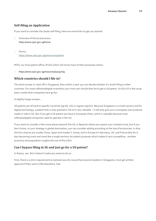# **Self-filing an Application**

If you want to consider the S\$160 self-filing, here are some links to get you started:

- □ Overview of the local process: https://www.ipos.gov.sg/home
- Forms: https://www.ipos.gov.sg/resources/patent

IPOS, our local patent office, IP2SG which will move more of their processes online :

https://www.ipos.gov.sg/resources/ip2sg-faq

# **Which countries should I file in?**

The short answer is: start off in Singapore, then within a year you can decide whether it's worth filing in other countries. For most software/digital inventions your main aim should then be to get a US patent. So SG+US is the usual basic combo that companies here go for.

A slightly longer answer…

All patents are all local to specific countries (eg SG, US) or regions (eg EU). Because Singapore is a small country and for digital technology, a patent that is only granted in SG isn't very valuable – it will only give you a monopoly over products made or sold in SG. But if you get a US patent you have a monopoly there, which is valuable because most software/digital companies need to operate in the US.

If you want to consider a few more places beyond SG+US, it depends where you expect your markets to be, but if you don't know, or your strategy is global domination, you can consider adding according to the size of economies: in Asia the first choices are usually China, Japan and maybe S. Korea, and in Europe it's Germany, UK, and France (the EU is also becoming more and more like a single territory for patent purposes which makes it very compelling – another economy and population roughly the size of the USA)

# **Can I bypass filing in SG and just go for a US patent?**

In theory, yes. But it doesn't make any sense to do so.

First, there is a strict requirement (a national security issue) that anyone resident in Singapore, must get written approval if they want to file elsewhere. See: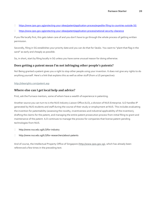- <https://www.ipos.gov.sg/protecting-your-ideas/patent/application-process/expedite-filing-to-countries-outside-SG>
- <https://www.ipos.gov.sg/protecting-your-ideas/patent/application-process/national-security-clearance>

If you file locally first, this gets taken care of and you don't have to go through the whole process of getting written permission.

Secondly, filing in SG establishes your priority date and you can do that for S\$160. You want to "plant that flag in the sand" as early and cheaply as possible.

So, in short, start by filing locally in SG unless you have some unusual reason for doing otherwise.

## **Does getting a patent mean I'm not infringing other people's patents?**

No! Being granted a patent gives you a right to stop other people using your invention. It does not give any rights to do anything yourself. Here's a link that explains this as well as other stuff (from a US perspective):

#### http://idearights.com/patent.asp

# **Where else can I get local help and advice?**

First, ask the Furnace mentors, some of whom have a wealth of experience in patenting.

Another source you can turn to is the NUS Industry Liaison Office (ILO), a division of NUS Enterprise. ILO handles IP generated by NUS students and staff during the course of their study or employment at NUS. This includes evaluating the invention for patentability (assessing the novelty, inventiveness and industrial applicability of the invention), drafting the claims for the patent, and managing the entire patent prosecution process from initial filing to grant and maintenance of the patent. ILO continues to manage the process for companies that license patent-pending technologies from NUS.

- http://www.nus.edu.sg/ILO/for-industry
- http://www.nus.edu.sg/ILO/for-researchers/about-patents

And of course, the Intellectual Property Office of Singapore (http://www.ipos.gov.sg), which has already been referenced a few times in the preceding text.